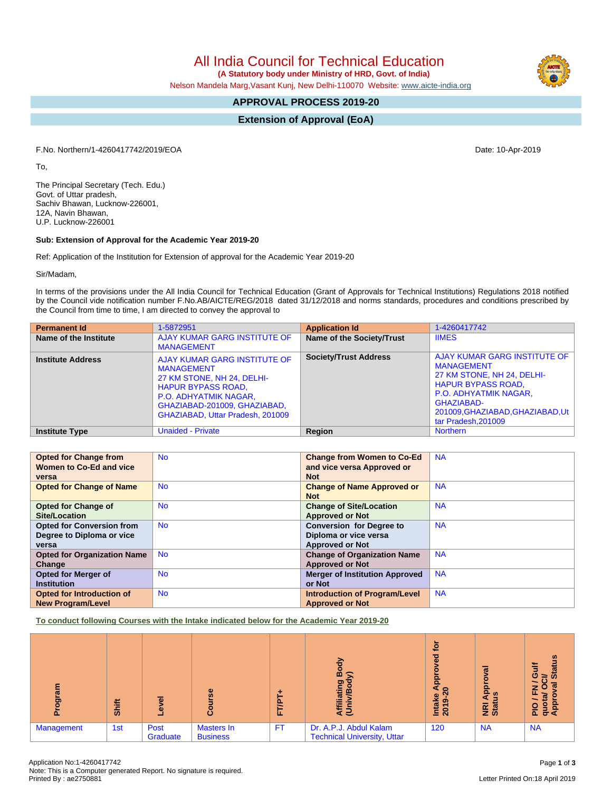All India Council for Technical Education

 **(A Statutory body under Ministry of HRD, Govt. of India)**

Nelson Mandela Marg,Vasant Kunj, New Delhi-110070 Website: [www.aicte-india.org](http://www.aicte-india.org)

# **APPROVAL PROCESS 2019-20**

**Extension of Approval (EoA)**

F.No. Northern/1-4260417742/2019/EOA Date: 10-Apr-2019

To,

The Principal Secretary (Tech. Edu.) Govt. of Uttar pradesh, Sachiv Bhawan, Lucknow-226001, 12A, Navin Bhawan, U.P. Lucknow-226001

#### **Sub: Extension of Approval for the Academic Year 2019-20**

Ref: Application of the Institution for Extension of approval for the Academic Year 2019-20

Sir/Madam,

In terms of the provisions under the All India Council for Technical Education (Grant of Approvals for Technical Institutions) Regulations 2018 notified by the Council vide notification number F.No.AB/AICTE/REG/2018 dated 31/12/2018 and norms standards, procedures and conditions prescribed by the Council from time to time, I am directed to convey the approval to

| <b>Permanent Id</b>      | 1-5872951                                                                                                                                                                                                        | <b>Application Id</b>        | 1-4260417742                                                                                                                                                                                                   |
|--------------------------|------------------------------------------------------------------------------------------------------------------------------------------------------------------------------------------------------------------|------------------------------|----------------------------------------------------------------------------------------------------------------------------------------------------------------------------------------------------------------|
| Name of the Institute    | AJAY KUMAR GARG INSTITUTE OF<br><b>MANAGEMENT</b>                                                                                                                                                                | Name of the Society/Trust    | <b>IIMES</b>                                                                                                                                                                                                   |
| <b>Institute Address</b> | AJAY KUMAR GARG INSTITUTE OF<br><b>MANAGEMENT</b><br>27 KM STONE, NH 24, DELHI-<br><b>HAPUR BYPASS ROAD,</b><br><b>P.O. ADHYATMIK NAGAR,</b><br>GHAZIABAD-201009, GHAZIABAD,<br>GHAZIABAD, Uttar Pradesh, 201009 | <b>Society/Trust Address</b> | AJAY KUMAR GARG INSTITUTE OF<br><b>MANAGEMENT</b><br>27 KM STONE, NH 24, DELHI-<br><b>HAPUR BYPASS ROAD,</b><br>P.O. ADHYATMIK NAGAR,<br>GHAZIABAD-<br>201009, GHAZIABAD, GHAZIABAD, Ut<br>tar Pradesh, 201009 |
| <b>Institute Type</b>    | <b>Unaided - Private</b>                                                                                                                                                                                         | Region                       | <b>Northern</b>                                                                                                                                                                                                |

| <b>Opted for Change from</b>       | <b>No</b> | <b>Change from Women to Co-Ed</b>     | <b>NA</b> |
|------------------------------------|-----------|---------------------------------------|-----------|
| Women to Co-Ed and vice            |           | and vice versa Approved or            |           |
| versa                              |           | <b>Not</b>                            |           |
| <b>Opted for Change of Name</b>    | <b>No</b> | <b>Change of Name Approved or</b>     | <b>NA</b> |
|                                    |           | <b>Not</b>                            |           |
| <b>Opted for Change of</b>         | <b>No</b> | <b>Change of Site/Location</b>        | <b>NA</b> |
| Site/Location                      |           | <b>Approved or Not</b>                |           |
| <b>Opted for Conversion from</b>   | <b>No</b> | <b>Conversion for Degree to</b>       | <b>NA</b> |
| Degree to Diploma or vice          |           | Diploma or vice versa                 |           |
| versa                              |           | <b>Approved or Not</b>                |           |
| <b>Opted for Organization Name</b> | <b>No</b> | <b>Change of Organization Name</b>    | <b>NA</b> |
| Change                             |           | <b>Approved or Not</b>                |           |
| <b>Opted for Merger of</b>         | <b>No</b> | <b>Merger of Institution Approved</b> | <b>NA</b> |
| <b>Institution</b>                 |           | or Not                                |           |
| <b>Opted for Introduction of</b>   | <b>No</b> | <b>Introduction of Program/Level</b>  | <b>NA</b> |
| <b>New Program/Level</b>           |           | <b>Approved or Not</b>                |           |

**To conduct following Courses with the Intake indicated below for the Academic Year 2019-20**

| 훈<br>ā            | Shift | <u>ಕ</u><br>٥    | $\overline{\mathbf{e}}$<br>යි        | u.        | 증<br>m<br>≲<br>ත<br>m<br>ē<br>₹ē                             | <u>io</u><br>ਠ<br>$\omega$<br>ą<br>ຊ<br>Intake<br>ග<br>201 | ਛ<br>ą<br>ഇ<br>ш<br><b>Ri</b><br>Stat | <b>Status</b><br>ပ<br>≆<br>w<br>z o<br>ш.<br>ৱ<br>gay<br>App<br>o<br>ᇍ |
|-------------------|-------|------------------|--------------------------------------|-----------|--------------------------------------------------------------|------------------------------------------------------------|---------------------------------------|------------------------------------------------------------------------|
| <b>Management</b> | 1st   | Post<br>Graduate | <b>Masters In</b><br><b>Business</b> | <b>FT</b> | Dr. A.P.J. Abdul Kalam<br><b>Technical University, Uttar</b> | 120                                                        | <b>NA</b>                             | <b>NA</b>                                                              |